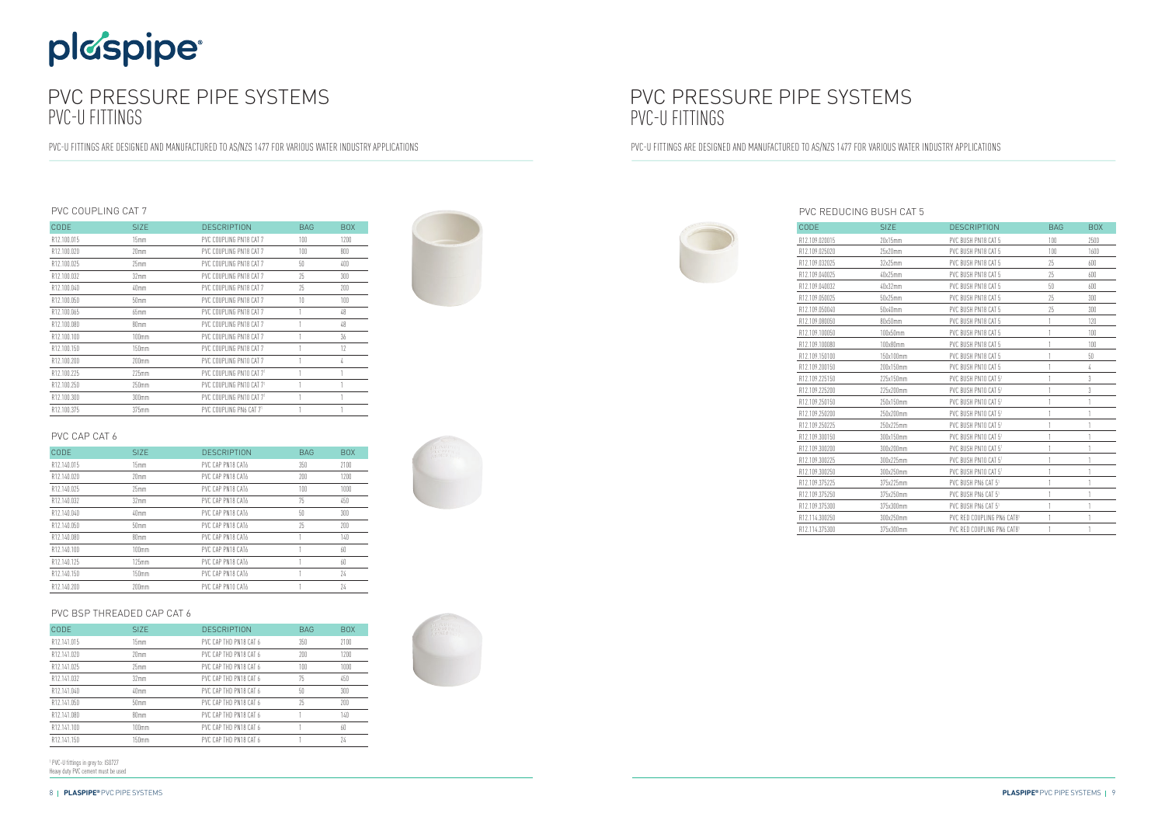# plaspipe

## PVC PRESSURE PIPE SYSTEMS PVC-U FITTINGS

PVC-U FITTINGS ARE DESIGNED AND MANUFACTURED TO AS/NZS 1477 FOR VARIOUS WATER INDUSTRY APPLICATIONS

### PVC COUPLING CAT 7

| CODE        | SI <sub>7</sub> F | <b>DESCRIPTION</b>       | <b>BAG</b> | <b>BOX</b> |
|-------------|-------------------|--------------------------|------------|------------|
| R12.100.015 | 15mm              | PVC COUPLING PN18 CAT 7  | 100        | 1200       |
| R12.100.020 | 20 <sub>mm</sub>  | PVC COUPLING PN18 CAT 7  | 100        | 800        |
| R12.100.025 | 25mm              | PVC COUPLING PN18 CAT 7  | 50         | 400        |
| R12.100.032 | 32mm              | PVC COUPLING PN18 CAT 7  | 25         | 300        |
| R12.100.040 | 40mm              | PVC COUPLING PN18 CAT 7  | 25         | 200        |
| R12.100.050 | 50mm              | PVC COUPLING PN18 CAT 7  | 10         | 100        |
| R12.100.065 | 65mm              | PVC COUPLING PN18 CAT 7  |            | 48         |
| R12.100.080 | 80mm              | PVC COUPLING PN18 CAT 7  |            | 48         |
| R12.100.100 | $100$ mm          | PVC COUPLING PN18 CAT 7  |            | 36         |
| R12.100.150 | 150mm             | PVC COUPLING PN18 CAT 7  |            | 12         |
| R12.100.200 | 200mm             | PVC COUPLING PN10 CAT 7  |            | 4          |
| R12.100.225 | 225mm             | PVC COUPLING PN10 CAT 71 |            | 1          |
| R12.100.250 | 250mm             | PVC COUPLING PN10 CAT 71 |            |            |
| R12.100.300 | 300mm             | PVC COUPLING PN10 CAT 71 |            |            |
| R12.100.375 | 375mm             | PVC COUPLING PN6 CAT 71  |            |            |

## PVC CAP CAT 6

| CODE        | SIZE.            | <b>DESCRIPTION</b> | <b>BAG</b> | <b>BOX</b> |
|-------------|------------------|--------------------|------------|------------|
| R12.140.015 | 15mm             | PVC CAP PN18 CAT6  | 350        | 7100       |
| R12.140.020 | 20mm             | PVC CAP PN18 CAT6  | 200        | 1200       |
| R12.140.025 | 25mm             | PVC CAP PN18 CAT6  | 100        | 1000       |
| R12.140.032 | 32 <sub>mm</sub> | PVC CAP PN18 CAT6  | 75         | 450        |
| R12.140.040 | 40mm             | PVC CAP PN18 CAT6  | 50         | 300        |
| R12.140.050 | 50mm             | PVC CAP PN18 CAT6  | 25         | 200        |
| R12.140.080 | 80mm             | PVC CAP PN18 CAT6  |            | 140        |
| R12.140.100 | 100mm            | PVC CAP PN18 CAT6  |            | 60         |
| R12.140.125 | 125mm            | PVC CAP PN18 CAT6  |            | 60         |
| R12.140.150 | 150mm            | PVC CAP PN18 CAT6  |            | 74         |
| R12.140.200 | $200$ mm         | PVC CAP PN10 CAT6  |            | 74         |

### PVC BSP THREADED CAP CAT 6

| CODE        | SI <sub>Z</sub> F | <b>DESCRIPTION</b>     | <b>BAG</b> | <b>BOX</b> |
|-------------|-------------------|------------------------|------------|------------|
| R12.141.015 | 15mm              | PVC CAP THD PN18 CAT 6 | 350        | 7100       |
| R12.141.020 | 20mm              | PVC CAP THD PN18 CAT 6 | 200        | 1200       |
| R12.141.025 | 25mm              | PVC CAP THD PN18 CAT 6 | 100        | 1000       |
| R12.141.032 | 32mm              | PVC CAP THD PN18 CAT 6 | 75         | 450        |
| R12.141.040 | 40 <sub>mm</sub>  | PVC CAP THD PN18 CAT 6 | 50         | 300        |
| R12.141.050 | 50 <sub>mm</sub>  | PVC CAP THD PN18 CAT 6 | 25         | 200        |
| R12.141.080 | 80mm              | PVC CAP THD PN18 CAT 6 |            | 140        |
| R12.141.100 | 100mm             | PVC CAP THD PN18 CAT 6 |            | 60         |
| R12.141.150 | 150 <sub>mm</sub> | PVC CAP THD PN18 CAT 6 |            | 74         |

<sup>1</sup> PVC-U fittings in grey to: ISO727 Heavy duty PVC cement must be used







## PVC PRESSURE PIPE SYSTEMS PVC-U FITTINGS

PVC-U FITTINGS ARE DESIGNED AND MANUFACTURED TO AS/NZS 1477 FOR VARIOUS WATER INDUSTRY APPLICATIONS

### PVC REDUCING BUSH CAT 5

| CODE           | <b>SIZE</b> | <b>DESCRIPTION</b>              | <b>BAG</b> | <b>BOX</b> |
|----------------|-------------|---------------------------------|------------|------------|
| R12.109.020015 | 20x15mm     | PVC BUSH PN18 CAT 5             | 100        | 2500       |
| R12.109.025020 | 25x20mm     | PVC BUSH PN18 CAT 5             | 100        | 1600       |
| R12.109.032025 | 32x25mm     | PVC BUSH PN18 CAT 5             | 25         | 600        |
| R12.109.040025 | 40x25mm     | PVC BUSH PN18 CAT 5             | 25         | 600        |
| R12.109.040032 | 40x32mm     | PVC BUSH PN18 CAT 5             | 50         | 600        |
| R12.109.050025 | 50x25mm     | PVC BUSH PN18 CAT 5             | 25         | 300        |
| R12.109.050040 | 50x40mm     | PVC BUSH PN18 CAT 5             | 25         | 300        |
| R12.109.080050 | 80x50mm     | PVC BUSH PN18 CAT 5             |            | 120        |
| R12.109.100050 | 100x50mm    | PVC BUSH PN18 CAT 5             |            | 100        |
| R12.109.100080 | 100x80mm    | PVC BUSH PN18 CAT 5             |            | 100        |
| R12.109.150100 | 150x100mm   | PVC BUSH PN18 CAT 5             |            | 50         |
| R12.109.200150 | 200x150mm   | PVC BUSH PN10 CAT 5             |            | 4          |
| R12.109.225150 | 225x150mm   | PVC BUSH PN10 CAT 51            |            | 3          |
| R12.109.225200 | 225x200mm   | PVC BUSH PN10 CAT 51            |            | 3          |
| R12.109.250150 | 250x150mm   | PVC BUSH PN10 CAT 51            |            |            |
| R12.109.250200 | 250x200mm   | PVC BUSH PN10 CAT 51            |            | 1          |
| R12.109.250225 | 250x225mm   | PVC BUSH PN10 CAT 51            |            | 1          |
| R12.109.300150 | 300x150mm   | PVC BUSH PN10 CAT 51            |            |            |
| R12.109.300200 | 300x200mm   | PVC BUSH PN10 CAT 51            |            |            |
| R12.109.300225 | 300x225mm   | PVC BUSH PN10 CAT 51            |            | 1          |
| R12.109.300250 | 300x250mm   | PVC BUSH PN10 CAT 51            |            | 1          |
| R12.109.375225 | 375x225mm   | PVC BUSH PN6 CAT 51             |            | 1          |
| R12.109.375250 | 375x250mm   | PVC BUSH PN6 CAT 51             |            |            |
| R12.109.375300 | 375x300mm   | PVC BUSH PN6 CAT 5 <sup>1</sup> |            |            |
| R12.114.300250 | 300x250mm   | PVC RED COUPLING PN6 CAT81      |            | 1          |
| R12.114.375300 | 375x300mm   | PVC RED COUPLING PN6 CAT81      |            | 1          |

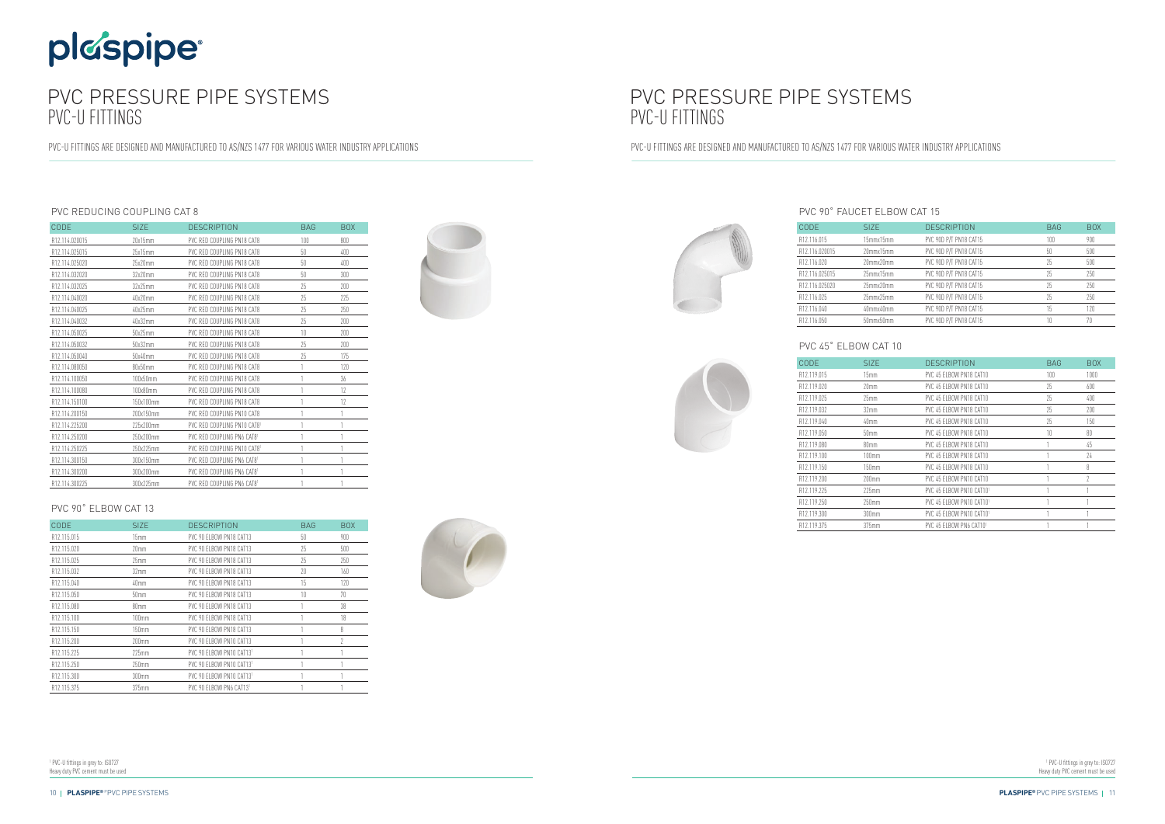# plaspipe®

## PVC PRESSURE PIPE SYSTEMS PVC-U FITTINGS

PVC-U FITTINGS ARE DESIGNED AND MANUFACTURED TO AS/NZS 1477 FOR VARIOUS WATER INDUSTRY APPLICATIONS

### PVC REDUCING COUPLING CAT 8

| CODE           | <b>SIZE</b> | <b>DESCRIPTION</b>          | <b>BAG</b> | <b>BOX</b> |
|----------------|-------------|-----------------------------|------------|------------|
| R12.114.020015 | 20x15mm     | PVC RED COUPLING PN18 CAT8  | 100        | 800        |
| R12.114.025015 | 25x15mm     | PVC RED COUPLING PN18 CAT8  | 50         | 400        |
| R12.114.025020 | 25x20mm     | PVC RED COUPLING PN18 CAT8  | 50         | 400        |
| R12.114.032020 | 32x20mm     | PVC RED COUPLING PN18 CAT8  | 50         | 300        |
| R12.114.032025 | 32x25mm     | PVC RED COUPLING PN18 CAT8  | 25         | 200        |
| R12.114.040020 | 40x20mm     | PVC RED COUPLING PN18 CAT8  | 25         | 225        |
| R12.114.040025 | 40x25mm     | PVC RED COUPLING PN18 CAT8  | 25         | 250        |
| R12.114.040032 | 40x32mm     | PVC RED COUPLING PN18 CAT8  | 25         | 200        |
| R12.114.050025 | 50x25mm     | PVC RED COUPLING PN18 CAT8  | 10         | 200        |
| R12.114.050032 | 50x32mm     | PVC RED COUPLING PN18 CAT8  | 25         | 200        |
| R12.114.050040 | 50x40mm     | PVC RED COUPLING PN18 CAT8  | 25         | 175        |
| R12.114.080050 | 80x50mm     | PVC RED COUPLING PN18 CAT8  |            | 120        |
| R12.114.100050 | 100x50mm    | PVC RED COUPLING PN18 CAT8  |            | 36         |
| R12.114.100080 | 100x80mm    | PVC RED COUPLING PN18 CAT8  |            | 17         |
| R12.114.150100 | 150x100mm   | PVC RED COUPLING PN18 CAT8  |            | 12         |
| R12.114.200150 | 200x150mm   | PVC RED COUPLING PN10 CAT8  |            | 1          |
| R12.114.225200 | 225x200mm   | PVC RED COUPLING PN10 CAT81 |            |            |
| R12.114.250200 | 750x200mm   | PVC RED COUPLING PN6 CAT81  |            | 1          |
| R12.114.250225 | 250x225mm   | PVC RED COUPLING PN10 CAT81 |            | 1          |
| R12.114.300150 | 300x150mm   | PVC RED COUPLING PN6 CAT81  |            |            |
| R12.114.300200 | 300x200mm   | PVC RED COUPLING PN6 CAT81  |            |            |
| R12.114.300225 | 300x225mm   | PVC RED COUPLING PN6 CAT81  |            | 1          |

### PVC 90˚ ELBOW CAT 13

| CODE        | <b>SIZE</b>       | <b>DESCRIPTION</b>       | <b>BAG</b> | <b>BOX</b> |
|-------------|-------------------|--------------------------|------------|------------|
| R12.115.015 | 15 <sub>mm</sub>  | PVC 90 FLBOW PN18 CAT13  | 50         | 900        |
| R12.115.020 | 20mm              | PVC 90 ELBOW PN18 CAT13  | 75         | 500        |
| R12.115.025 | 25mm              | PVC 90 FLBOW PN18 CAT13  | 25         | 250        |
| R12.115.032 | 32 <sub>mm</sub>  | PVC 90 ELBOW PN18 CAT13  | 20         | 160        |
| R12.115.040 | 40mm              | PVC 90 FLBOW PN18 CAT13  | 15         | 120        |
| R12.115.050 | 50mm              | PVC 90 ELBOW PN18 CAT13  | 10         | 70         |
| R12.115.080 | 80mm              | PVC 90 FLBOW PN18 CAT13  |            | 38         |
| R12.115.100 | $100$ mm          | PVC 90 ELBOW PN18 CAT13  |            | 18         |
| R12.115.150 | 150mm             | PVC 90 ELBOW PN18 CAT13  |            | 8          |
| R12.115.200 | 200 <sub>mm</sub> | PVC 90 ELBOW PN10 CAT13  |            | 2          |
| R12.115.225 | $225$ mm          | PVC 90 FLBOW PN10 CAT131 |            |            |
| R12.115.250 | 250mm             | PVC 90 ELBOW PN10 CAT131 |            |            |
| R12.115.300 | 300mm             | PVC 90 ELBOW PN10 CAT131 |            |            |
| R12.115.375 | $375$ mm          | PVC 90 FLBOW PN6 CAT131  |            |            |





<sup>1</sup> PVC-U fittings in grey to: ISO727 Heavy duty PVC cement must be used

## PVC PRESSURE PIPE SYSTEMS PVC-U FITTINGS

PVC-U FITTINGS ARE DESIGNED AND MANUFACTURED TO AS/NZS 1477 FOR VARIOUS WATER INDUSTRY APPLICATIONS

### PVC 90˚ FAUCET ELBOW CAT 15

| <b>CODE</b>    | SI <sub>ZE</sub> | <b>DESCRIPTION</b>     | <b>BAG</b> | <b>BOX</b> |
|----------------|------------------|------------------------|------------|------------|
| R12.116.015    | 15mmx15mm        | PVC 90D P/T PN18 CAT15 | 100        | 900        |
| R12.116.020015 | 20mmx15mm        | PVC 90D P/T PN18 CAT15 | 50         | 500        |
| R12.116.020    | 20mmx20mm        | PVC 90D P/T PN18 CAT15 | 25         | 500        |
| R12.116.025015 | 25mmx15mm        | PVC 90D P/T PN18 CAT15 | 25         | 250        |
| R12.116.025020 | 25mmx20mm        | PVC 90D P/T PN18 CAT15 | 25         | 250        |
| R12.116.025    | 25mmx25mm        | PVC 90D P/T PN18 CAT15 | 25         | 250        |
| R12.116.040    | 40mmx40mm        | PVC 90D P/T PN18 CAT15 | 15         | 120        |
| R12.116.050    | 50mmx50mm        | PVC 90D P/T PN18 CAT15 | 10         | 70         |

### PVC 45˚ ELBOW CAT 10

| CODE        | SI <sub>Z</sub> F | <b>DESCRIPTION</b>       | <b>BAG</b> | <b>BOX</b> |
|-------------|-------------------|--------------------------|------------|------------|
| R12.119.015 | 15mm              | PVC 45 FLBOW PN18 CAT10  | 100        | 1000       |
| R12.119.020 | 20mm              | PVC 45 FLBOW PN18 CAT10  | 25         | 600        |
| R12.119.025 | 25 <sub>mm</sub>  | PVC 45 FLBOW PN18 CAT10  | 25         | 400        |
| R12.119.032 | 32mm              | PVC 45 FLBOW PN18 CAT10  | 25         | 200        |
| R12.119.040 | 40mm              | PVC 45 ELBOW PN18 CAT10  | 25         | 150        |
| R12.119.050 | 50mm              | PVC 45 FLBOW PN18 CAT10  | 10         | 80         |
| R12.119.080 | 80mm              | PVC 45 ELBOW PN18 CAT10  |            | 45         |
| R12.119.100 | 100mm             | PVC 45 ELBOW PN18 CAT10  |            | 24         |
| R12.119.150 | 150mm             | PVC 45 ELBOW PN18 CAT10  |            | 8          |
| R12.119.200 | $200$ mm          | PVC 45 FLBOW PN10 CAT10  |            | $\gamma$   |
| R12.119.225 | $225$ mm          | PVC 45 FLBOW PN10 CAT101 |            |            |
| R12.119.250 | $250$ mm          | PVC 45 FLBOW PN10 CAT101 |            |            |
| R12.119.300 | 300 <sub>mm</sub> | PVC 45 FLBOW PN10 CAT101 |            |            |
| R12.119.375 | 375mm             | PVC 45 ELBOW PN6 CAT101  |            |            |



<sup>1</sup> PVC-U fittings in grey to: ISO727 Heavy duty PVC cement must be used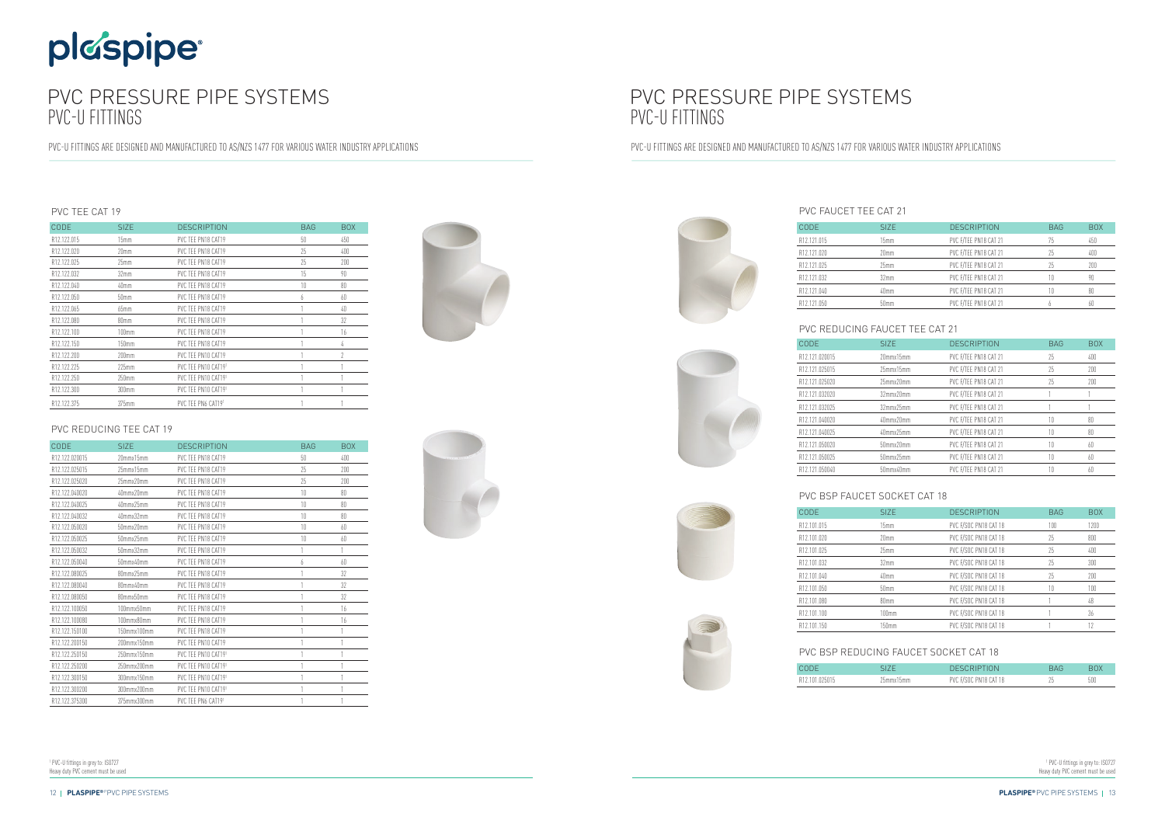# plaspipe

## PVC PRESSURE PIPE SYSTEMS PVC-U FITTINGS

PVC-U FITTINGS ARE DESIGNED AND MANUFACTURED TO AS/NZS 1477 FOR VARIOUS WATER INDUSTRY APPLICATIONS

<sup>1</sup> PVC-U fittings in grey to: ISO727 Heavy duty PVC cement must be used





### PVC TEE CAT 19

| CODE        | SI <sub>ZE</sub> | <b>DESCRIPTION</b>  | <b>BAG</b> | <b>BOX</b> |
|-------------|------------------|---------------------|------------|------------|
| R12.122.015 | 15mm             | PVC TEE PN18 CAT19  | 50         | 450        |
| R12.122.020 | 20 <sub>mm</sub> | PVC TFF PN18 CAT19  | 75         | 400        |
| R12.122.025 | 25 <sub>mm</sub> | PVC TEE PN18 CAT19  | 75         | 200        |
| R12.122.032 | 32 <sub>mm</sub> | PVC TFF PN18 CAT19  | $15\,$     | 90         |
| R12.122.040 | 40mm             | PVC TEE PN18 CAT19  | 10         | 80         |
| R12.122.050 | 50mm             | PVC TEE PN18 CAT19  | h          | 60         |
| R12.122.065 | $65$ mm          | PVC TEE PN18 CAT19  |            | 40         |
| R12.122.080 | 80mm             | PVC TEE PN18 CAT19  |            | 32         |
| R12.122.100 | $100$ mm         | PVC TEE PN18 CAT19  |            | 16         |
| R12.122.150 | 150mm            | PVC TEE PN18 CAT19  |            | 4          |
| R12.122.200 | 200mm            | PVC TEE PN10 CAT19  |            | 2          |
| R12.122.225 | $225$ mm         | PVC TEE PN10 CAT191 |            |            |
| R12.122.250 | 250mm            | PVC TEE PN10 CAT191 |            |            |
| R12.122.300 | 300mm            | PVC TEE PN10 CAT191 |            |            |
| R12.122.375 | 375mm            | PVC TEE PN6 CAT191  |            |            |

### PVC REDUCING TEE CAT 19

| CODE           | <b>SIZE</b> | <b>DESCRIPTION</b>  | <b>BAG</b> | <b>BOX</b> |
|----------------|-------------|---------------------|------------|------------|
| R12.122.020015 | 20mmx15mm   | PVC TEE PN18 CAT19  | 50         | 400        |
| R12.122.025015 | 25mmx15mm   | PVC TEE PN18 CAT19  | 25         | 200        |
| R12.122.025020 | 25mmx20mm   | PVC TEE PN18 CAT19  | 25         | 200        |
| R12.122.040020 | 40mmx20mm   | PVC TEE PN18 CAT19  | 10         | 80         |
| R12.122.040025 | 40mmx25mm   | PVC TEE PN18 CAT19  | 10         | 80         |
| R12.122.040032 | 40mmx32mm   | PVC TEE PN18 CAT19  | 10         | 80         |
| R12.122.050020 | 50mmx20mm   | PVC TEE PN18 CAT19  | 10         | 60         |
| R12.122.050025 | 50mmx25mm   | PVC TEE PN18 CAT19  | 10         | 60         |
| R12.122.050032 | 50mmx32mm   | PVC TEE PN18 CAT19  | 1          | 1          |
| R12.122.050040 | 50mmx40mm   | PVC TEE PN18 CAT19  | 6          | 60         |
| R12.122.080025 | 80mmx25mm   | PVC TEE PN18 CAT19  |            | 32         |
| R12.122.080040 | 80mmx40mm   | PVC TEE PN18 CAT19  | 1          | 32         |
| R12.122.080050 | 80mmx50mm   | PVC TEE PN18 CAT19  |            | 32         |
| R12.122.100050 | 100mmx50mm  | PVC TEE PN18 CAT19  |            | 16         |
| R12.122.100080 | 100mmx80mm  | PVC TFF PN18 CAT19  | 1          | 16         |
| R12.122.150100 | 150mmx100mm | PVC TEE PN18 CAT19  |            |            |
| R12.122.200150 | 200mmx150mm | PVC TEE PN10 CAT19  |            |            |
| R12.122.250150 | 250mmx150mm | PVC TFF PN10 CAT191 |            | 1          |
| R12.122.250200 | 250mmx200mm | PVC TEE PN10 CAT191 | 1          | 1          |
| R12.122.300150 | 300mmx150mm | PVC TEE PN10 CAT191 |            |            |
| R12.122.300200 | 300mmx200mm | PVC TEE PN10 CAT191 |            |            |
| R12.122.375300 | 375mmx300mm | PVC TEE PN6 CAT191  |            |            |

<sup>1</sup> PVC-U fittings in grey to: ISO727 Heavy duty PVC cement must be used

### PVC FAUCET TEE CAT 21

| <b>CODE</b>              | SIZE.            | <b>DESCRIPTION</b>    | <b>BAG</b> | <b>BOX</b> |
|--------------------------|------------------|-----------------------|------------|------------|
| R12.121.015              | 15mm             | PVC F/TEE PN18 CAT 21 | 75         | 450        |
| R12.121.020              | 20mm             | PVC F/TEE PN18 CAT 21 | 25         | 400        |
| R12.121.025              | 25mm             | PVC F/TEE PN18 CAT 21 | 25         | 200        |
| R <sub>12</sub> .121.032 | 32mm             | PVC F/TEE PN18 CAT 21 | 10         | 90         |
| R12.121.040              | 40mm             | PVC F/TEE PN18 CAT 21 | 10         | 80         |
| R12.121.050              | 50 <sub>mm</sub> | PVC F/TEE PN18 CAT 21 |            | 60         |

## PVC REDUCING FAUCET TEE CAT 21

| CODE           | SI <sub>Z</sub> E | <b>DESCRIPTION</b>    | <b>BAG</b> | <b>BOX</b> |
|----------------|-------------------|-----------------------|------------|------------|
| R12.121.020015 | 20mmx15mm         | PVC F/TEE PN18 CAT 21 | 25         | 400        |
| R12.121.025015 | 25mmx15mm         | PVC F/TEE PN18 CAT 21 | 25         | 200        |
| R12.121.025020 | 25mmx20mm         | PVC F/TEE PN18 CAT 21 | 25         | 200        |
| R12.121.032020 | 32mmx20mm         | PVC F/TEE PN18 CAT 21 |            |            |
| R12.121.032025 | $32$ mmx $25$ mm  | PVC F/TEE PN18 CAT 21 |            |            |
| R12.121.040020 | 40mmx20mm         | PVC F/TEE PN18 CAT 21 | 10         | 80         |
| R12.121.040025 | 40mmx25mm         | PVC F/TEE PN18 CAT 21 | 10         | 80         |
| R12.121.050020 | 50mmx20mm         | PVC F/TEE PN18 CAT 21 | 10         | 60         |
| R12.121.050025 | $50$ mmx $25$ mm  | PVC F/TEE PN18 CAT 21 | 10         | 60         |
| R12.121.050040 | 50mmx40mm         | PVC F/TEE PN18 CAT 21 | 10         | 60         |

### PVC BSP FAUCET SOCKET CAT 18

| <b>CODE</b>             | SI <sub>Z</sub> F | <b>DESCRIPTION</b>    | <b>BAG</b> | <b>BOX</b> |
|-------------------------|-------------------|-----------------------|------------|------------|
| R12.101.015             | 15mm              | PVC F/SOC PN18 CAT 18 | 100        | 1200       |
| R12.101.020             | 20mm              | PVC F/SOC PN18 CAT 18 | 25         | 800        |
| R12.101.025             | $25$ mm           | PVC F/SOC PN18 CAT 18 | 25         | 400        |
| R <sub>12.101.032</sub> | 32 <sub>mm</sub>  | PVC F/SOC PN18 CAT 18 | 25         | 300        |
| R12.101.040             | 40mm              | PVC F/SOC PN18 CAT 18 | 25         | 200        |
| R12.101.050             | 50 <sub>mm</sub>  | PVC F/SOC PN18 CAT 18 | 10         | 100        |
| R12.101.080             | 80mm              | PVC F/SOC PN18 CAT 18 |            | 48         |
| R12.101.100             | 100mm             | PVC F/SOC PN18 CAT 18 |            | 36         |
| R12.101.150             | 150mm             | PVC F/SOC PN18 CAT 18 |            |            |

| <b>CODE</b>    |  |
|----------------|--|
| R12.101.025015 |  |

### PVC BSP REDUCING FAUCET SOCKET CAT 18

| CODE           |           | DESCRIPTION           |     |
|----------------|-----------|-----------------------|-----|
| R12.101.025015 | 25mmx15mm | PVC F/SOC PN18 CAT 18 | 500 |

## PVC PRESSURE PIPE SYSTEMS PVC-U FITTINGS

PVC-U FITTINGS ARE DESIGNED AND MANUFACTURED TO AS/NZS 1477 FOR VARIOUS WATER INDUSTRY APPLICATIONS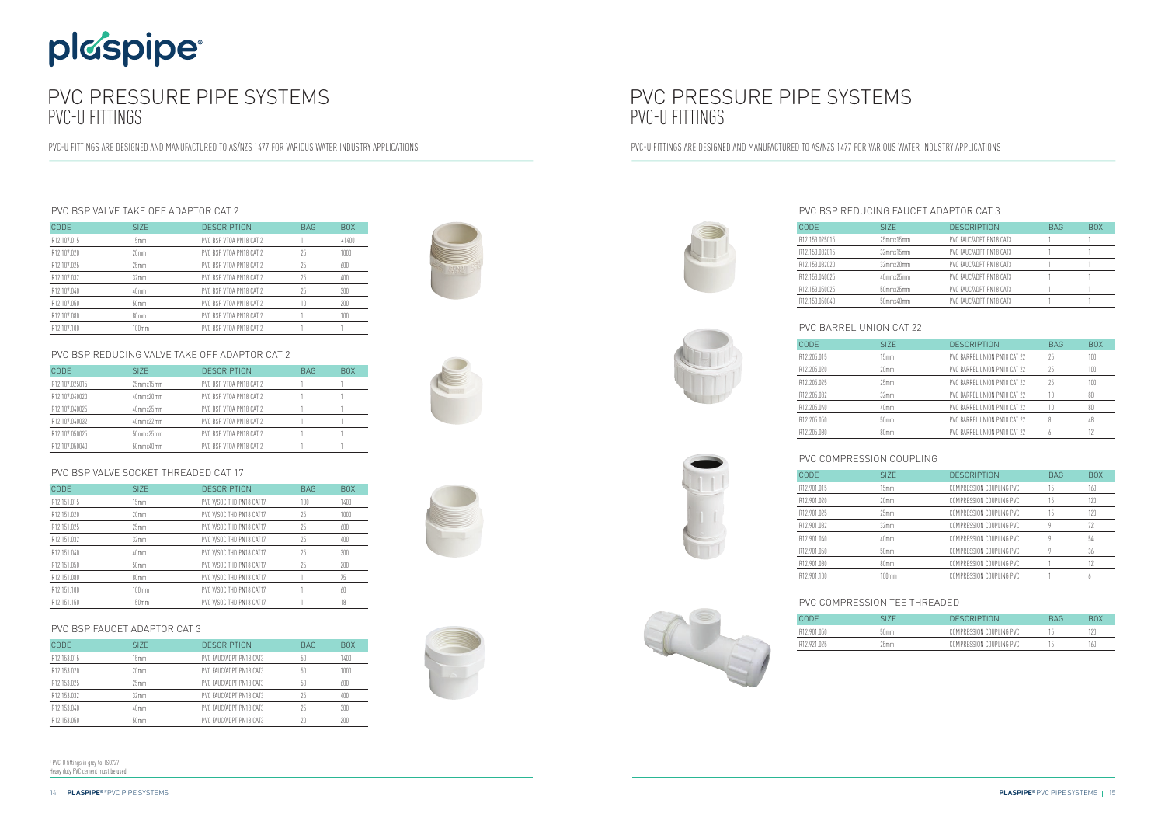## PVC PRESSURE PIPE SYSTEMS PVC-U FITTINGS

PVC-U FITTINGS ARE DESIGNED AND MANUFACTURED TO AS/NZS 1477 FOR VARIOUS WATER INDUSTRY APPLICATIONS



# plaspipe®

## PVC PRESSURE PIPE SYSTEMS PVC-U FITTINGS

PVC-U FITTINGS ARE DESIGNED AND MANUFACTURED TO AS/NZS 1477 FOR VARIOUS WATER INDUSTRY APPLICATIONS

<sup>1</sup> PVC-U fittings in grey to: ISO727 Heavy duty PVC cement must be used









### PVC BSP VALVE TAKE OFF ADAPTOR CAT 2

| CODE.       | SI <sub>Z</sub> F | <b>DESCRIPTION</b>      | <b>BAG</b> | BOX.    |
|-------------|-------------------|-------------------------|------------|---------|
| R12.107.015 | 15mm              | PVC BSP VTOA PN18 CAT 2 |            | $+1400$ |
| R12.107.020 | 20mm              | PVC BSP VT0A PN18 CAT 2 | 25         | 1000    |
| R12.107.025 | $25$ mm           | PVC BSP VTOA PN18 CAT 2 | 25         | 600     |
| R12.107.032 | 32 <sub>mm</sub>  | PVC BSP VT0A PN18 CAT 2 | 25         | 400     |
| R12.107.040 | 40 <sub>mm</sub>  | PVC BSP VTOA PN18 CAT 2 | 75         | 300     |
| R12.107.050 | 50 <sub>mm</sub>  | PVC BSP VT0A PN18 CAT 2 | 10         | 200     |
| R12.107.080 | 80mm              | PVC BSP VT0A PN18 CAT 2 |            | 100     |
| R12.107.100 | 100mm             | PVC BSP VTOA PN18 CAT 2 |            |         |

### PVC BSP REDUCING VALVE TAKE OFF ADAPTOR CAT 2

| CODE           | SI <sub>Z</sub> F | <b>DESCRIPTION</b>      | <b>BAG</b> | <b>BOX</b> |
|----------------|-------------------|-------------------------|------------|------------|
| R12.107.025015 | 25mmx15mm         | PVC BSP VT0A PN18 CAT 2 |            |            |
| R12.107.040020 | 40mmx20mm         | PVC BSP VT0A PN18 CAT 2 |            |            |
| R12.107.040025 | 40mmx25mm         | PVC BSP VT0A PN18 CAT 2 |            |            |
| R12.107.040032 | $40$ mmx $32$ mm  | PVC BSP VT0A PN18 CAT 2 |            |            |
| R12.107.050025 | 50mmx25mm         | PVC BSP VT0A PN18 CAT 2 |            |            |
| R12.107.050040 | 50mmx40mm         | PVC BSP VT0A PN18 CAT 2 |            |            |

### PVC BSP VALVE SOCKET THREADED CAT 17

| <b>CODE</b> | SIZE.            | <b>DESCRIPTION</b>       | <b>BAG</b> | <b>BOX</b> |
|-------------|------------------|--------------------------|------------|------------|
| R12.151.015 | 15mm             | PVC V/SOC THD PN18 CAT17 | 100        | 1400       |
| R12.151.020 | 20mm             | PVC V/SOC THD PN18 CAT17 | 25         | 1000       |
| R12.151.025 | $25$ mm          | PVC V/SOC THD PN18 CAT17 | 75         | 600        |
| R12.151.032 | 32mm             | PVC V/SOC THD PN18 CAT17 | 25         | 400        |
| R12.151.040 | 40mm             | PVC V/SOC THD PN18 CAT17 | 25         | 300        |
| R12.151.050 | 50 <sub>mm</sub> | PVC V/SOC THD PN18 CAT17 | 25         | 200        |
| R12.151.080 | 80mm             | PVC V/SOC THD PN18 CAT17 |            | 75         |
| R12.151.100 | 100mm            | PVC V/SOC THD PN18 CAT17 |            | 60         |
| R12.151.150 | 150mm            | PVC V/SOC THD PN18 CAT17 |            | 18         |

### PVC BSP FAUCET ADAPTOR CAT 3

| <b>CODE</b> | SI <sub>Z</sub> F | <b>DESCRIPTION</b>      | <b>BAG</b> | <b>BOX</b> |
|-------------|-------------------|-------------------------|------------|------------|
| R12.153.015 | 15mm              | PVC FAUC/ADPT PN18 CAT3 | 50         | 1400       |
| R12.153.020 | 20mm              | PVC FAUC/ADPT PN18 CAT3 | 50         | 1000       |
| R12.153.025 | 25mm              | PVC FAUC/ADPT PN18 CAT3 | 50         | 600        |
| R12.153.032 | 32 <sub>mm</sub>  | PVC FAUC/ADPT PN18 CAT3 | 75         | 400        |
| R12.153.040 | 40mm              | PVC FAUC/ADPT PN18 CAT3 | 25         | 300        |
| R12.153.050 | 50mm              | PVC FAUC/ADPT PN18 CAT3 |            | 200        |

## PVC BSP REDUCING FAUCET ADAPTOR CAT 3

| CODE           | SI <sub>Z</sub> E | <b>DESCRIPTION</b>      | <b>BAG</b> | <b>BOX</b> |
|----------------|-------------------|-------------------------|------------|------------|
| R12.153.025015 | 25mmx15mm         | PVC FAUC/ADPT PN18 CAT3 |            |            |
| R12.153.032015 | 32mmx15mm         | PVC FAUC/ADPT PN18 CAT3 |            |            |
| R12.153.032020 | 32mmx20mm         | PVC FAUC/ADPT PN18 CAT3 |            |            |
| R12.153.040025 | 40mmx25mm         | PVC FAUC/ADPT PN18 CAT3 |            |            |
| R12.153.050025 | $50$ mmx $25$ mm  | PVC FAUC/ADPT PN18 CAT3 |            |            |
| R12.153.050040 | 50mmx40mm         | PVC FAUC/ADPT PN18 CAT3 |            |            |
|                |                   |                         |            |            |







### PVC BARREL UNION CAT 22

| CODE        | SI <sub>ZE</sub> | <b>DESCRIPTION</b>           | <b>BAG</b> | <b>BOX</b> |
|-------------|------------------|------------------------------|------------|------------|
| R12.205.015 | 15mm             | PVC BARREL UNION PN18 CAT 22 | 25         | 100        |
| R12.205.020 | 20 <sub>mm</sub> | PVC BARREL UNION PN18 CAT 22 | 25         | 100        |
| R12.205.025 | 25mm             | PVC BARREL UNION PN18 CAT 22 | 25         | 100        |
| R12.205.032 | 32 <sub>mm</sub> | PVC BARREL UNION PN18 CAT 22 | 10         | 80         |
| R12.205.040 | 40mm             | PVC BARREL UNION PN18 CAT 22 | 10         | 80         |
| R12.205.050 | 50 <sub>mm</sub> | PVC BARREL UNION PN18 CAT 22 |            | 48         |
| R12.205.080 | 80mm             | PVC BARREL UNION PN18 CAT 22 |            |            |



 $R12.205.020$ 

### PVC COMPRESSION COUPLING

| CODE        | SI <sub>7</sub> F | <b>DESCRIPTION</b>       | <b>BAG</b> | <b>BOX</b> |
|-------------|-------------------|--------------------------|------------|------------|
| R12.901.015 | 15mm              | COMPRESSION COUPLING PVC | 15         | 160        |
| R12.901.020 | 20mm              | COMPRESSION COUPLING PVC | 15         | 120        |
| R12.901.025 | 25mm              | COMPRESSION COUPLING PVC | 15         | 120        |
| R12.901.032 | 32mm              | COMPRESSION COUPLING PVC |            |            |
| R12.901.040 | 40mm              | COMPRESSION COUPLING PVC |            | 54         |
| R12.901.050 | 50 <sub>mm</sub>  | COMPRESSION COUPLING PVC |            | 36         |
| R12.901.080 | 80mm              | COMPRESSION COUPLING PVC |            | 17         |
| R12 901 100 | 100mm             | COMPRESSION COUPLING PVC |            |            |

### PVC COMPRESSION TEE THREADED

| CODE        |                  | <b>DESCRIPTION</b>       | RAG | BOX |
|-------------|------------------|--------------------------|-----|-----|
| R12 901 050 | 50 <sub>mm</sub> | COMPRESSION COUPLING PVC |     | 20  |
| R12 921 025 | 25mm             | COMPRESSION COUPLING PVC |     | 160 |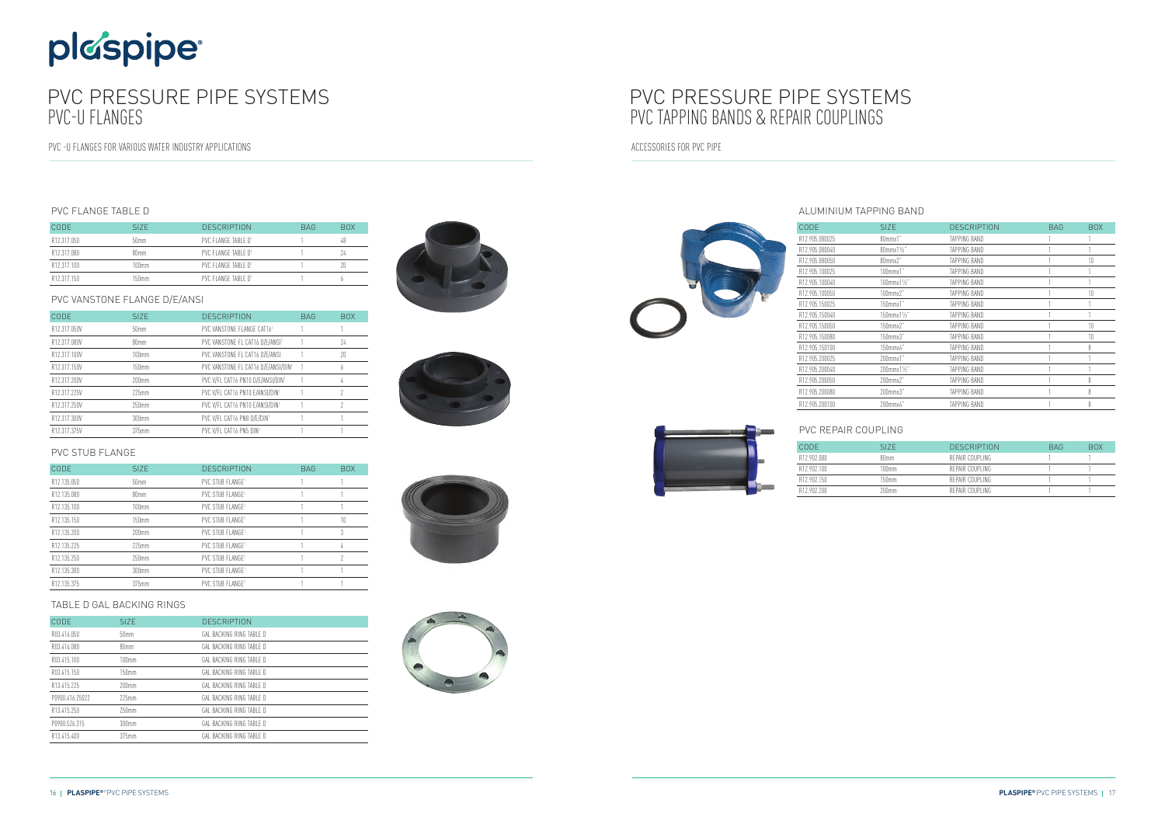### ALUMINIUM TAPPING BAND

| <b>CODE</b>    | <b>SIZE</b>                | <b>DESCRIPTION</b> | <b>BAG</b> | <b>BOX</b> |
|----------------|----------------------------|--------------------|------------|------------|
| R12.905.080025 | 80mmx1"                    | TAPPING BAND       |            |            |
| R12.905.080040 | 80mmx11/2"                 | TAPPING BAND       |            |            |
| R12.905.080050 | 80mmx2"                    | TAPPING BAND       |            | 10         |
| R12.905.100025 | $100$ mm $x1$ "            | TAPPING BAND       |            |            |
| R12.905.100040 | $100$ mmx $1\frac{1}{2}$ " | TAPPING BAND       |            |            |
| R12.905.100050 | $100$ mmx $2"$             | TAPPING BAND       |            | 10         |
| R12.905.150025 | $150$ mm $x1$ "            | TAPPING BAND       |            |            |
| R12.905.150040 | 150mmx11/2"                | TAPPING BAND       |            | 1          |
| R12.905.150050 | 150mmx2"                   | TAPPING BAND       |            | 10         |
| R12.905.150080 | $150$ mmx $3"$             | TAPPING BAND       |            | 10         |
| R12.905.150100 | 150mmx4"                   | TAPPING BAND       |            | 8          |
| R12.905.200025 | $200$ mm $x1$ "            | TAPPING BAND       |            |            |
| R12.905.200040 | 200mmx11/2"                | TAPPING BAND       |            |            |
| R12.905.200050 | 200mmx2"                   | TAPPING BAND       |            | 8          |
| R12.905.200080 | $200$ mmx $3"$             | TAPPING BAND       |            | 8          |
| R12.905.200100 | 200mmx4"                   | TAPPING BAND       |            | 8          |



| PVC REPAIR COUPLING |                   |                    |            |            |
|---------------------|-------------------|--------------------|------------|------------|
| <b>CODE</b>         | SI <sub>7</sub> F | <b>DESCRIPTION</b> | <b>BAG</b> | <b>BOX</b> |
| R12.902.080         | 80mm              | REPAIR COUPLING    |            |            |
| R12 902 100         | $100$ mm          | REPAIR COUPLING    |            |            |
| R12 902 150         | 150mm             | REPAIR COUPLING    |            |            |
| R12 902 200         | 200mm             | REPAIR COUPLING    |            |            |

# plaspipe

## PVC PRESSURE PIPE SYSTEMS PVC-U FLANGES

PVC -U FLANGES FOR VARIOUS WATER INDUSTRY APPLICATIONS

## PVC PRESSURE PIPE SYSTEMS PVC TAPPING BANDS & REPAIR COUPLINGS

ACCESSORIES FOR PVC PIPE

### PVC FLANGE TABLE D

| CODE        | SI <sub>7</sub> F | <b>DESCRIPTION</b>  | <b>BAG</b> | <b>BOX</b> |
|-------------|-------------------|---------------------|------------|------------|
| R12.317.050 | 50 <sub>mm</sub>  | PVC FLANGE TARLE D1 |            |            |
| R12.317.080 | 80mm              | PVC FLANGE TABLE D1 |            |            |
| R12.317.100 | 100mm             | PVC FLANGE TARLE D1 |            |            |
| R12 317 150 | 150mm             | PVC FLANGE TABLE D1 |            |            |

### PVC VANSTONE FLANGE D/E/ANSI

| CODE         | SI <sub>7</sub> F | <b>DESCRIPTION</b>                          | <b>BAG</b> | <b>BOX</b> |
|--------------|-------------------|---------------------------------------------|------------|------------|
| R12.317.050V | 50 <sub>mm</sub>  | PVC VANSTONE FLANGE CAT161                  |            |            |
| R12.317.080V | 80mm              | PVC VANSTONE FL CAT16 D/E/ANSI <sup>1</sup> |            | 74         |
| R12.317.100V | 100mm             | PVC VANSTONE FL CAT16 D/E/ANSI              |            | 20         |
| R12.317.150V | 150mm             | PVC VANSTONE FL CAT16 D/E/ANSI/DIN1         |            | h          |
| R12.317.200V | $200$ mm          | PVC V/FL CAT16 PN10 D/E/ANSI/DIN1           |            | 4          |
| R12.317.225V | $225$ mm          | PVC V/FL CAT16 PN10 E/ANSI/DIN1             |            |            |
| R12.317.250V | 250mm             | PVC V/FL CAT16 PN10 E/ANSI/DIN1             |            |            |
| R12.317.300V | 300mm             | PVC V/FL CAT16 PN8 D/E/DIN1                 |            |            |
| R12.317.375V | 375mm             | PVC V/FL CAT16 PN5 DIN1                     |            |            |

### PVC STUB FLANGE

| <b>CODE</b> | SIZE.    | <b>DESCRIPTION</b>           | <b>BAG</b> | <b>BOX</b> |
|-------------|----------|------------------------------|------------|------------|
| R12.135.050 | 50mm     | PVC STUB FLANGE1             |            |            |
| R12.135.080 | 80mm     | PVC STUB FLANGE <sup>1</sup> |            |            |
| R12.135.100 | 100mm    | PVC STUB FLANGE1             |            |            |
| R12.135.150 | 150mm    | PVC STUB FLANGE <sup>1</sup> |            | 10         |
| R12.135.200 | $200$ mm | PVC STUB FLANGE <sup>1</sup> |            |            |
| R12.135.225 | $225$ mm | PVC STUB FLANGE1             |            | 4          |
| R12.135.250 | $250$ mm | PVC STUB FLANGE1             |            |            |
| R12.135.300 | $300$ mm | PVC STUB FLANGE1             |            |            |
| R12.135.375 | $375$ mm | PVC STUB FLANGE1             |            |            |

### TABLE D GAL BACKING RINGS

| CODE            | SI <sub>Z</sub> F | <b>DESCRIPTION</b>       |
|-----------------|-------------------|--------------------------|
| RO3.416.050     | 50 <sub>mm</sub>  | GAL BACKING RING TABLE D |
| R03.416.080     | 80mm              | GAL BACKING RING TABLE D |
| R03.415.100     | 100mm             | GAL BACKING RING TABLE D |
| RO3.415.150     | 150 <sub>mm</sub> | GAL BACKING RING TABLE D |
| R13.415.225     | $200$ mm          | GAL BACKING RING TABLE D |
| P0900.416.25022 | $225$ mm          | GAL BACKING RING TABLE D |
| R13.415.250     | $250$ mm          | GAL BACKING RING TABLE D |
| P0900.526.315   | 300mm             | GAL BACKING RING TABLE D |
| R13.415.400     | 375mm             | GAL BACKING RING TABLE D |